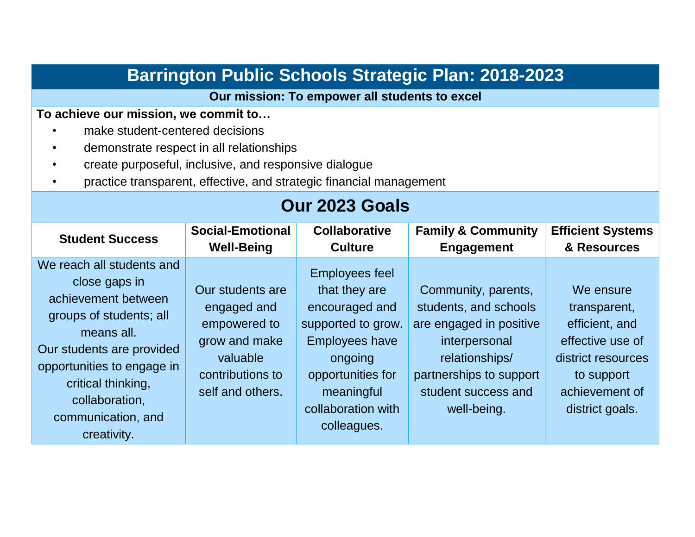| <b>Barrington Public Schools Strategic Plan: 2018-2023</b>                                                                                                                                                                                          |                                                                                                                      |                                                                                                                                                                                            |                                                                                                                                                                             |                                                                                                                                          |  |  |  |
|-----------------------------------------------------------------------------------------------------------------------------------------------------------------------------------------------------------------------------------------------------|----------------------------------------------------------------------------------------------------------------------|--------------------------------------------------------------------------------------------------------------------------------------------------------------------------------------------|-----------------------------------------------------------------------------------------------------------------------------------------------------------------------------|------------------------------------------------------------------------------------------------------------------------------------------|--|--|--|
| Our mission: To empower all students to excel                                                                                                                                                                                                       |                                                                                                                      |                                                                                                                                                                                            |                                                                                                                                                                             |                                                                                                                                          |  |  |  |
| To achieve our mission, we commit to<br>make student-centered decisions<br>demonstrate respect in all relationships<br>create purposeful, inclusive, and responsive dialogue<br>practice transparent, effective, and strategic financial management |                                                                                                                      |                                                                                                                                                                                            |                                                                                                                                                                             |                                                                                                                                          |  |  |  |
| Our 2023 Goals                                                                                                                                                                                                                                      |                                                                                                                      |                                                                                                                                                                                            |                                                                                                                                                                             |                                                                                                                                          |  |  |  |
| <b>Student Success</b>                                                                                                                                                                                                                              | <b>Social-Emotional</b><br><b>Well-Being</b>                                                                         | <b>Collaborative</b><br><b>Culture</b>                                                                                                                                                     | <b>Family &amp; Community</b><br><b>Engagement</b>                                                                                                                          | <b>Efficient Systems</b><br>& Resources                                                                                                  |  |  |  |
| We reach all students and<br>close gaps in<br>achievement between<br>groups of students; all<br>means all.<br>Our students are provided<br>opportunities to engage in<br>critical thinking,<br>collaboration,<br>communication, and<br>creativity.  | Our students are<br>engaged and<br>empowered to<br>grow and make<br>valuable<br>contributions to<br>self and others. | <b>Employees feel</b><br>that they are<br>encouraged and<br>supported to grow.<br><b>Employees have</b><br>ongoing<br>opportunities for<br>meaningful<br>collaboration with<br>colleagues. | Community, parents,<br>students, and schools<br>are engaged in positive<br>interpersonal<br>relationships/<br>partnerships to support<br>student success and<br>well-being. | We ensure<br>transparent,<br>efficient, and<br>effective use of<br>district resources<br>to support<br>achievement of<br>district goals. |  |  |  |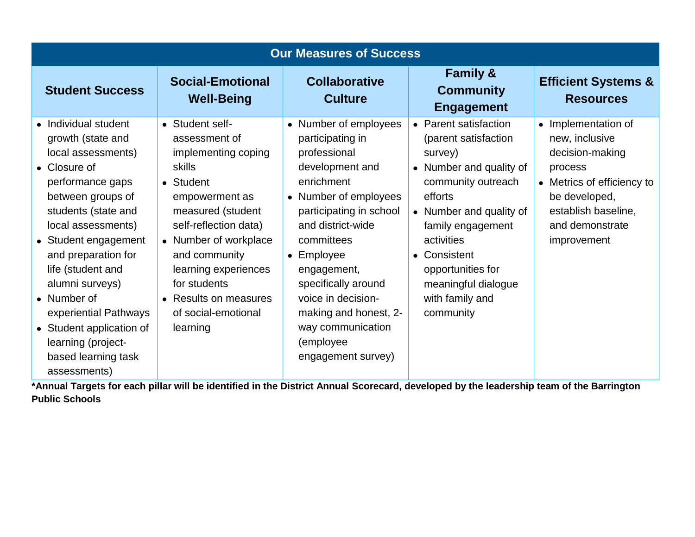| <b>Our Measures of Success</b>                                                                                                                                                                                                                                                                                                                                                              |                                                                                                                                                                                                                                                                                                     |                                                                                                                                                                                                                                                                                                                                              |                                                                                                                                                                                                                                                                                |                                                                                                                                                                                        |  |  |  |
|---------------------------------------------------------------------------------------------------------------------------------------------------------------------------------------------------------------------------------------------------------------------------------------------------------------------------------------------------------------------------------------------|-----------------------------------------------------------------------------------------------------------------------------------------------------------------------------------------------------------------------------------------------------------------------------------------------------|----------------------------------------------------------------------------------------------------------------------------------------------------------------------------------------------------------------------------------------------------------------------------------------------------------------------------------------------|--------------------------------------------------------------------------------------------------------------------------------------------------------------------------------------------------------------------------------------------------------------------------------|----------------------------------------------------------------------------------------------------------------------------------------------------------------------------------------|--|--|--|
| <b>Student Success</b>                                                                                                                                                                                                                                                                                                                                                                      | <b>Social-Emotional</b><br><b>Well-Being</b>                                                                                                                                                                                                                                                        | <b>Collaborative</b><br><b>Culture</b>                                                                                                                                                                                                                                                                                                       | <b>Family &amp;</b><br><b>Community</b><br><b>Engagement</b>                                                                                                                                                                                                                   | <b>Efficient Systems &amp;</b><br><b>Resources</b>                                                                                                                                     |  |  |  |
| Individual student<br>growth (state and<br>local assessments)<br>• Closure of<br>performance gaps<br>between groups of<br>students (state and<br>local assessments)<br>• Student engagement<br>and preparation for<br>life (student and<br>alumni surveys)<br>• Number of<br>experiential Pathways<br>• Student application of<br>learning (project-<br>based learning task<br>assessments) | • Student self-<br>assessment of<br>implementing coping<br><b>skills</b><br>• Student<br>empowerment as<br>measured (student<br>self-reflection data)<br>• Number of workplace<br>and community<br>learning experiences<br>for students<br>• Results on measures<br>of social-emotional<br>learning | • Number of employees<br>participating in<br>professional<br>development and<br>enrichment<br>• Number of employees<br>participating in school<br>and district-wide<br>committees<br>• Employee<br>engagement,<br>specifically around<br>voice in decision-<br>making and honest, 2-<br>way communication<br>(employee<br>engagement survey) | • Parent satisfaction<br>(parent satisfaction<br>survey)<br>• Number and quality of<br>community outreach<br>efforts<br>• Number and quality of<br>family engagement<br>activities<br>• Consistent<br>opportunities for<br>meaningful dialogue<br>with family and<br>community | Implementation of<br>$\bullet$<br>new, inclusive<br>decision-making<br>process<br>• Metrics of efficiency to<br>be developed,<br>establish baseline,<br>and demonstrate<br>improvement |  |  |  |

**\*Annual Targets for each pillar will be identified in the District Annual Scorecard, developed by the leadership team of the Barrington Public Schools**